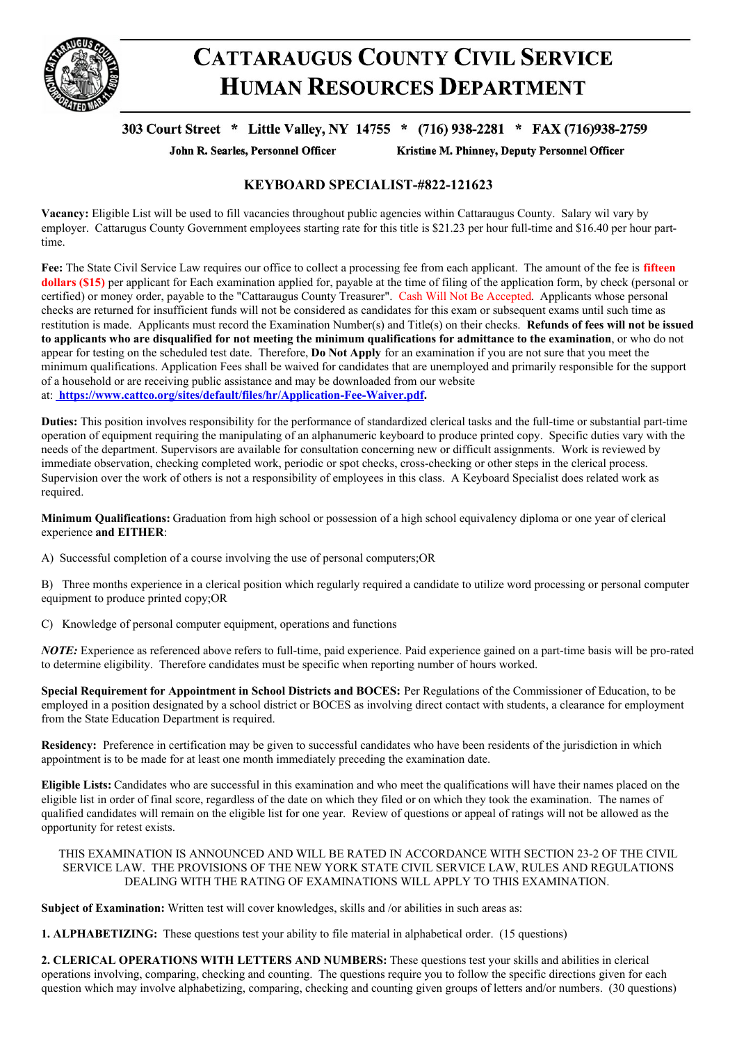

## **CATTARAUGUS COUNTY CIVIL SERVICE HUMAN RESOURCES DEPARTMENT**

## 303 Court Street \* Little Valley, NY 14755 \* (716) 938-2281 \* FAX (716)938-2759

John R. Searles, Personnel Officer

Kristine M. Phinney, Deputy Personnel Officer

## **KEYBOARD SPECIALIST-#822-121623**

**Vacancy:** Eligible List will be used to fill vacancies throughout public agencies within Cattaraugus County. Salary wil vary by employer. Cattarugus County Government employees starting rate for this title is \$21.23 per hour full-time and \$16.40 per hour parttime.

**Fee:** The State Civil Service Law requires our office to collect a processing fee from each applicant. The amount of the fee is **fifteen dollars (\$15)** per applicant for Each examination applied for, payable at the time of filing of the application form, by check (personal or certified) or money order, payable to the "Cattaraugus County Treasurer". Cash Will Not Be Accepted. Applicants whose personal checks are returned for insufficient funds will not be considered as candidates for this exam or subsequent exams until such time as restitution is made. Applicants must record the Examination Number(s) and Title(s) on their checks. **Refunds of fees will not be issued** to applicants who are disqualified for not meeting the minimum qualifications for admittance to the examination, or who do not appear for testing on the scheduled test date. Therefore, **Do Not Apply** for an examination if you are not sure that you meet the minimum qualifications. Application Fees shall be waived for candidates that are unemployed and primarily responsible for the support of a household or are receiving public assistance and may be downloaded from our website at: **https://www.cattco.org/sites/default/files/hr/Application-Fee-Waiver.pdf.**

**Duties:** This position involves responsibility for the performance of standardized clerical tasks and the full-time or substantial part-time operation of equipment requiring the manipulating of an alphanumeric keyboard to produce printed copy. Specific duties vary with the needs of the department. Supervisors are available for consultation concerning new or difficult assignments. Work is reviewed by immediate observation, checking completed work, periodic or spot checks, cross-checking or other steps in the clerical process. Supervision over the work of others is not a responsibility of employees in this class. A Keyboard Specialist does related work as required.

**Minimum Qualifications:** Graduation from high school or possession of a high school equivalency diploma or one year of clerical experience **and EITHER**:

A) Successful completion of a course involving the use of personal computers;OR

B) Three months experience in a clerical position which regularly required a candidate to utilize word processing or personal computer equipment to produce printed copy;OR

C) Knowledge of personal computer equipment, operations and functions

*NOTE:* Experience as referenced above refers to full-time, paid experience. Paid experience gained on a part-time basis will be pro-rated to determine eligibility. Therefore candidates must be specific when reporting number of hours worked.

**Special Requirement for Appointment in School Districts and BOCES:** Per Regulations of the Commissioner of Education, to be employed in a position designated by a school district or BOCES as involving direct contact with students, a clearance for employment from the State Education Department is required.

**Residency:** Preference in certification may be given to successful candidates who have been residents of the jurisdiction in which appointment is to be made for at least one month immediately preceding the examination date.

**Eligible Lists:** Candidates who are successful in this examination and who meet the qualifications will have their names placed on the eligible list in order of final score, regardless of the date on which they filed or on which they took the examination. The names of qualified candidates will remain on the eligible list for one year. Review of questions or appeal of ratings will not be allowed as the opportunity for retest exists.

THIS EXAMINATION IS ANNOUNCED AND WILL BE RATED IN ACCORDANCE WITH SECTION 23-2 OF THE CIVIL SERVICE LAW. THE PROVISIONS OF THE NEW YORK STATE CIVIL SERVICE LAW, RULES AND REGULATIONS DEALING WITH THE RATING OF EXAMINATIONS WILL APPLY TO THIS EXAMINATION.

**Subject of Examination:** Written test will cover knowledges, skills and /or abilities in such areas as:

**1. ALPHABETIZING:** These questions test your ability to file material in alphabetical order. (15 questions)

**2. CLERICAL OPERATIONS WITH LETTERS AND NUMBERS:** These questions test your skills and abilities in clerical operations involving, comparing, checking and counting. The questions require you to follow the specific directions given for each question which may involve alphabetizing, comparing, checking and counting given groups of letters and/or numbers. (30 questions)